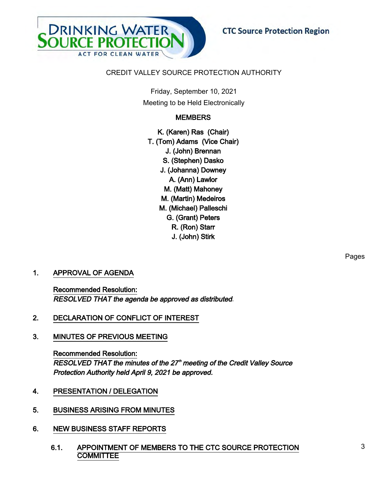

# CREDIT VALLEY SOURCE PROTECTION AUTHORITY

Friday, September 10, 2021 Meeting to be Held Electronically

# **MEMBERS**

K. (Karen) Ras (Chair) T. (Tom) Adams (Vice Chair) J. (John) Brennan S. (Stephen) Dasko J. (Johanna) Downey A. (Ann) Lawlor M. (Matt) Mahoney M. (Martin) Medeiros M. (Michael) Palleschi G. (Grant) Peters R. (Ron) Starr J. (John) Stirk

# 1. APPROVAL OF AGENDA

Recommended Resolution: RESOLVED THAT the agenda be approved as distributed.

- 2. DECLARATION OF CONFLICT OF INTEREST
- 3. MINUTES OF PREVIOUS MEETING

Recommended Resolution: RESOLVED THAT the minutes of the 27<sup>th</sup> meeting of the Credit Valley Source Protection Authority held April 9, 2021 be approved.

- 4. PRESENTATION / DELEGATION
- 5. BUSINESS ARISING FROM MINUTES
- 6. NEW BUSINESS STAFF REPORTS
	- 6.1. APPOINTMENT OF MEMBERS TO THE CTC SOURCE PROTECTION **COMMITTEE**

Pages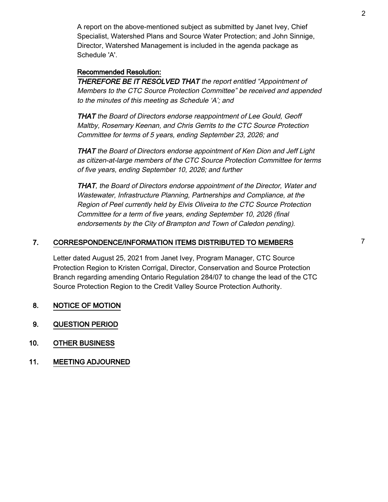A report on the above-mentioned subject as submitted by Janet Ivey, Chief Specialist, Watershed Plans and Source Water Protection; and John Sinnige, Director, Watershed Management is included in the agenda package as Schedule 'A'.

# Recommended Resolution:

THEREFORE BE IT RESOLVED THAT the report entitled "Appointment of Members to the CTC Source Protection Committee" be received and appended to the minutes of this meeting as Schedule 'A'; and

THAT the Board of Directors endorse reappointment of Lee Gould, Geoff Maltby, Rosemary Keenan, and Chris Gerrits to the CTC Source Protection Committee for terms of 5 years, ending September 23, 2026; and

THAT the Board of Directors endorse appointment of Ken Dion and Jeff Light as citizen-at-large members of the CTC Source Protection Committee for terms of five years, ending September 10, 2026; and further

THAT, the Board of Directors endorse appointment of the Director, Water and Wastewater, Infrastructure Planning, Partnerships and Compliance, at the Region of Peel currently held by Elvis Oliveira to the CTC Source Protection Committee for a term of five years, ending September 10, 2026 (final endorsements by the City of Brampton and Town of Caledon pending).

# 7. CORRESPONDENCE/INFORMATION ITEMS DISTRIBUTED TO MEMBERS  $7$

Letter dated August 25, 2021 from Janet Ivey, Program Manager, CTC Source Protection Region to Kristen Corrigal, Director, Conservation and Source Protection Branch regarding amending Ontario Regulation 284/07 to change the lead of the CTC Source Protection Region to the Credit Valley Source Protection Authority.

- 8. NOTICE OF MOTION
- 9. QUESTION PERIOD
- 10. OTHER BUSINESS
- 11. MEETING ADJOURNED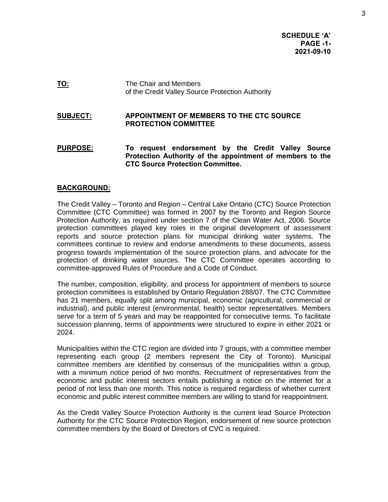**SCHEDULE 'A' PAGE -1- 2021-09-10**

**TO:** The Chair and Members of the Credit Valley Source Protection Authority

#### **SUBJECT: APPOINTMENT OF MEMBERS TO THE CTC SOURCE PROTECTION COMMITTEE**

**PURPOSE: To request endorsement by the Credit Valley Source Protection Authority of the appointment of members to the CTC Source Protection Committee.** 

## **BACKGROUND:**

The Credit Valley – Toronto and Region – Central Lake Ontario (CTC) Source Protection Committee (CTC Committee) was formed in 2007 by the Toronto and Region Source Protection Authority, as required under section 7 of the Clean Water Act, 2006. Source protection committees played key roles in the original development of assessment reports and source protection plans for municipal drinking water systems. The committees continue to review and endorse amendments to these documents, assess progress towards implementation of the source protection plans, and advocate for the protection of drinking water sources. The CTC Committee operates according to committee-approved Rules of Procedure and a Code of Conduct.

The number, composition, eligibility, and process for appointment of members to source protection committees is established by Ontario Regulation 288/07. The CTC Committee has 21 members, equally split among municipal, economic (agricultural, commercial or industrial), and public interest (environmental, health) sector representatives. Members serve for a term of 5 years and may be reappointed for consecutive terms. To facilitate succession planning, terms of appointments were structured to expire in either 2021 or 2024.

Municipalities within the CTC region are divided into 7 groups, with a committee member representing each group (2 members represent the City of Toronto). Municipal committee members are identified by consensus of the municipalities within a group, with a minimum notice period of two months. Recruitment of representatives from the economic and public interest sectors entails publishing a notice on the internet for a period of not less than one month. This notice is required regardless of whether current economic and public interest committee members are willing to stand for reappointment.

As the Credit Valley Source Protection Authority is the current lead Source Protection Authority for the CTC Source Protection Region, endorsement of new source protection committee members by the Board of Directors of CVC is required.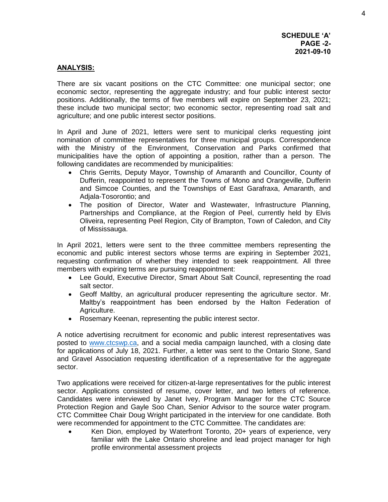## **ANALYSIS:**

There are six vacant positions on the CTC Committee: one municipal sector; one economic sector, representing the aggregate industry; and four public interest sector positions. Additionally, the terms of five members will expire on September 23, 2021; these include two municipal sector; two economic sector, representing road salt and agriculture; and one public interest sector positions.

In April and June of 2021, letters were sent to municipal clerks requesting joint nomination of committee representatives for three municipal groups. Correspondence with the Ministry of the Environment, Conservation and Parks confirmed that municipalities have the option of appointing a position, rather than a person. The following candidates are recommended by municipalities:

- Chris Gerrits, Deputy Mayor, Township of Amaranth and Councillor, County of Dufferin, reappointed to represent the Towns of Mono and Orangeville, Dufferin and Simcoe Counties, and the Townships of East Garafraxa, Amaranth, and Adjala-Tosorontio; and
- The position of Director, Water and Wastewater, Infrastructure Planning, Partnerships and Compliance, at the Region of Peel, currently held by Elvis Oliveira, representing Peel Region, City of Brampton, Town of Caledon, and City of Mississauga.

In April 2021, letters were sent to the three committee members representing the economic and public interest sectors whose terms are expiring in September 2021, requesting confirmation of whether they intended to seek reappointment. All three members with expiring terms are pursuing reappointment:

- Lee Gould, Executive Director, Smart About Salt Council, representing the road salt sector.
- Geoff Maltby, an agricultural producer representing the agriculture sector. Mr. Maltby's reappointment has been endorsed by the Halton Federation of Agriculture.
- Rosemary Keenan, representing the public interest sector.

A notice advertising recruitment for economic and public interest representatives was posted to [www.ctcswp.ca,](http://www.ctcswp.ca/) and a social media campaign launched, with a closing date for applications of July 18, 2021. Further, a letter was sent to the Ontario Stone, Sand and Gravel Association requesting identification of a representative for the aggregate sector.

Two applications were received for citizen-at-large representatives for the public interest sector. Applications consisted of resume, cover letter, and two letters of reference. Candidates were interviewed by Janet Ivey, Program Manager for the CTC Source Protection Region and Gayle Soo Chan, Senior Advisor to the source water program. CTC Committee Chair Doug Wright participated in the interview for one candidate. Both were recommended for appointment to the CTC Committee. The candidates are:

 Ken Dion, employed by Waterfront Toronto, 20+ years of experience, very familiar with the Lake Ontario shoreline and lead project manager for high profile environmental assessment projects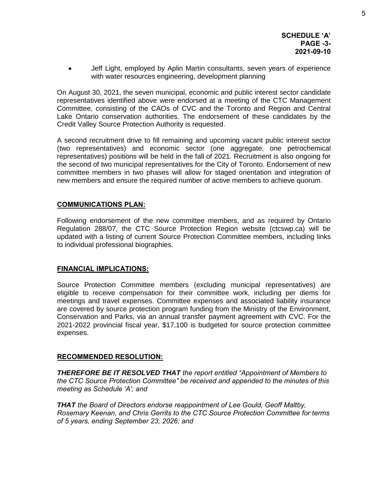Jeff Light, employed by Aplin Martin consultants, seven years of experience with water resources engineering, development planning

On August 30, 2021, the seven municipal, economic and public interest sector candidate representatives identified above were endorsed at a meeting of the CTC Management Committee, consisting of the CAOs of CVC and the Toronto and Region and Central Lake Ontario conservation authorities. The endorsement of these candidates by the Credit Valley Source Protection Authority is requested.

A second recruitment drive to fill remaining and upcoming vacant public interest sector (two representatives) and economic sector (one aggregate, one petrochemical representatives) positions will be held in the fall of 2021. Recruitment is also ongoing for the second of two municipal representatives for the City of Toronto. Endorsement of new committee members in two phases will allow for staged orientation and integration of new members and ensure the required number of active members to achieve quorum.

## **COMMUNICATIONS PLAN:**

Following endorsement of the new committee members, and as required by Ontario Regulation 288/07, the CTC Source Protection Region website (ctcswp.ca) will be updated with a listing of current Source Protection Committee members, including links to individual professional biographies.

### **FINANCIAL IMPLICATIONS:**

Source Protection Committee members (excluding municipal representatives) are eligible to receive compensation for their committee work, including per diems for meetings and travel expenses. Committee expenses and associated liability insurance are covered by source protection program funding from the Ministry of the Environment, Conservation and Parks, via an annual transfer payment agreement with CVC. For the 2021-2022 provincial fiscal year, \$17,100 is budgeted for source protection committee expenses.

### **RECOMMENDED RESOLUTION:**

*THEREFORE BE IT RESOLVED THAT the report entitled "Appointment of Members to the CTC Source Protection Committee" be received and appended to the minutes of this meeting as Schedule 'A'; and* 

*THAT the Board of Directors endorse reappointment of Lee Gould, Geoff Maltby, Rosemary Keenan, and Chris Gerrits to the CTC Source Protection Committee for terms of 5 years, ending September 23, 2026; and*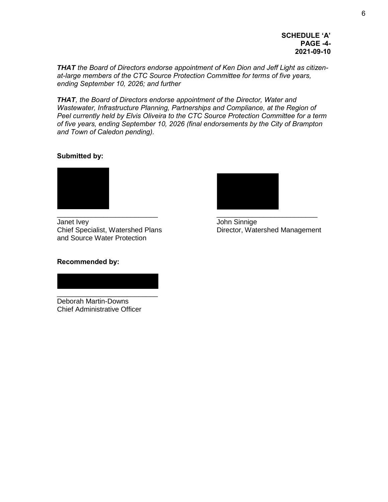### **SCHEDULE 'A' PAGE -4- 2021-09-10**

*THAT the Board of Directors endorse appointment of Ken Dion and Jeff Light as citizenat-large members of the CTC Source Protection Committee for terms of five years, ending September 10, 2026; and further* 

*THAT, the Board of Directors endorse appointment of the Director, Water and Wastewater, Infrastructure Planning, Partnerships and Compliance, at the Region of Peel currently held by Elvis Oliveira to the CTC Source Protection Committee for a term of five years, ending September 10, 2026 (final endorsements by the City of Brampton and Town of Caledon pending).* 

## **Submitted by:**



Janet Ivey John Sinnige Chief Specialist, Watershed Plans Director, Watershed Management and Source Water Protection



## **Recommended by:**

\_\_\_\_\_\_\_\_\_\_\_\_\_\_\_\_\_\_\_\_\_\_\_\_\_\_ Deborah Martin-Downs Chief Administrative Officer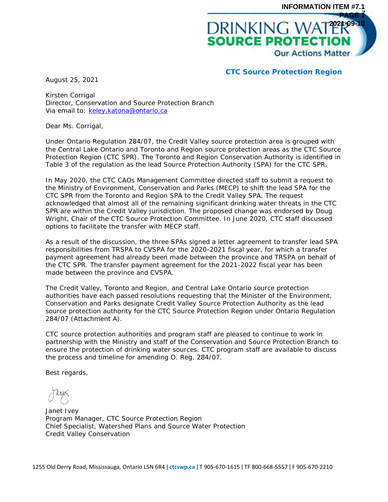

**CTC Source Protection Region**

August 25, 2021

Kirsten Corrigal Director, Conservation and Source Protection Branch Via email to: [keley.katona@ontario.ca](mailto:keley.katona@ontario.ca)

Dear Ms. Corrigal,

Under Ontario Regulation 284/07, the Credit Valley source protection area is grouped with the Central Lake Ontario and Toronto and Region source protection areas as the CTC Source Protection Region (CTC SPR). The Toronto and Region Conservation Authority is identified in Table 3 of the regulation as the lead Source Protection Authority (SPA) for the CTC SPR.

In May 2020, the CTC CAOs Management Committee directed staff to submit a request to the Ministry of Environment, Conservation and Parks (MECP) to shift the lead SPA for the CTC SPR from the Toronto and Region SPA to the Credit Valley SPA. The request acknowledged that almost all of the remaining significant drinking water threats in the CTC SPR are within the Credit Valley jurisdiction. The proposed change was endorsed by Doug Wright, Chair of the CTC Source Protection Committee. In June 2020, CTC staff discussed options to facilitate the transfer with MECP staff.

As a result of the discussion, the three SPAs signed a letter agreement to transfer lead SPA responsibilities from TRSPA to CVSPA for the 2020-2021 fiscal year, for which a transfer payment agreement had already been made between the province and TRSPA on behalf of the CTC SPR. The transfer payment agreement for the 2021-2022 fiscal year has been made between the province and CVSPA.

The Credit Valley, Toronto and Region, and Central Lake Ontario source protection authorities have each passed resolutions requesting that the Minister of the Environment, Conservation and Parks designate Credit Valley Source Protection Authority as the lead source protection authority for the CTC Source Protection Region under Ontario Regulation 284/07 (Attachment A).

CTC source protection authorities and program staff are pleased to continue to work in partnership with the Ministry and staff of the Conservation and Source Protection Branch to ensure the protection of drinking water sources. CTC program staff are available to discuss the process and timeline for amending O. Reg. 284/07.

Best regards,

Janet Ivey Program Manager, CTC Source Protection Region Chief Specialist, Watershed Plans and Source Water Protection Credit Valley Conservation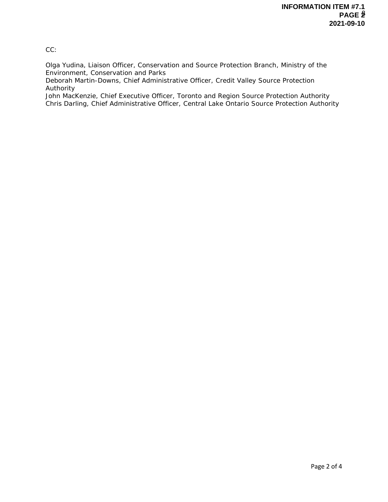CC:

Olga Yudina, Liaison Officer, Conservation and Source Protection Branch, Ministry of the Environment, Conservation and Parks

Deborah Martin-Downs, Chief Administrative Officer, Credit Valley Source Protection Authority

John MacKenzie, Chief Executive Officer, Toronto and Region Source Protection Authority Chris Darling, Chief Administrative Officer, Central Lake Ontario Source Protection Authority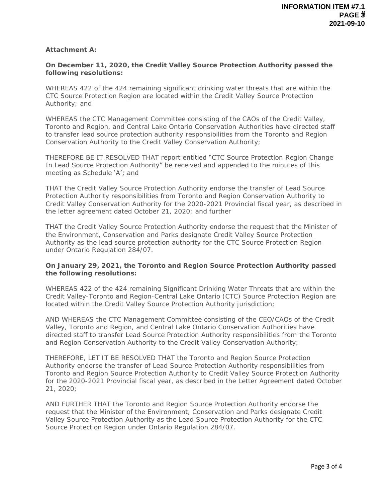**Attachment A:**

**On December 11, 2020, the Credit Valley Source Protection Authority passed the following resolutions:**

WHEREAS 422 of the 424 remaining significant drinking water threats that are within the CTC Source Protection Region are located within the Credit Valley Source Protection Authority; and

WHEREAS the CTC Management Committee consisting of the CAOs of the Credit Valley, Toronto and Region, and Central Lake Ontario Conservation Authorities have directed staff to transfer lead source protection authority responsibilities from the Toronto and Region Conservation Authority to the Credit Valley Conservation Authority;

THEREFORE BE IT RESOLVED THAT report entitled "CTC Source Protection Region Change In Lead Source Protection Authority" be received and appended to the minutes of this meeting as Schedule 'A'; and

THAT the Credit Valley Source Protection Authority endorse the transfer of Lead Source Protection Authority responsibilities from Toronto and Region Conservation Authority to Credit Valley Conservation Authority for the 2020-2021 Provincial fiscal year, as described in the letter agreement dated October 21, 2020; and further

THAT the Credit Valley Source Protection Authority endorse the request that the Minister of the Environment, Conservation and Parks designate Credit Valley Source Protection Authority as the lead source protection authority for the CTC Source Protection Region under Ontario Regulation 284/07.

**On January 29, 2021, the Toronto and Region Source Protection Authority passed the following resolutions:**

WHEREAS 422 of the 424 remaining Significant Drinking Water Threats that are within the Credit Valley-Toronto and Region-Central Lake Ontario (CTC) Source Protection Region are located within the Credit Valley Source Protection Authority jurisdiction;

AND WHEREAS the CTC Management Committee consisting of the CEO/CAOs of the Credit Valley, Toronto and Region, and Central Lake Ontario Conservation Authorities have directed staff to transfer Lead Source Protection Authority responsibilities from the Toronto and Region Conservation Authority to the Credit Valley Conservation Authority;

THEREFORE, LET IT BE RESOLVED THAT the Toronto and Region Source Protection Authority endorse the transfer of Lead Source Protection Authority responsibilities from Toronto and Region Source Protection Authority to Credit Valley Source Protection Authority for the 2020-2021 Provincial fiscal year, as described in the Letter Agreement dated October 21, 2020;

AND FURTHER THAT the Toronto and Region Source Protection Authority endorse the request that the Minister of the Environment, Conservation and Parks designate Credit Valley Source Protection Authority as the Lead Source Protection Authority for the CTC Source Protection Region under Ontario Regulation 284/07.